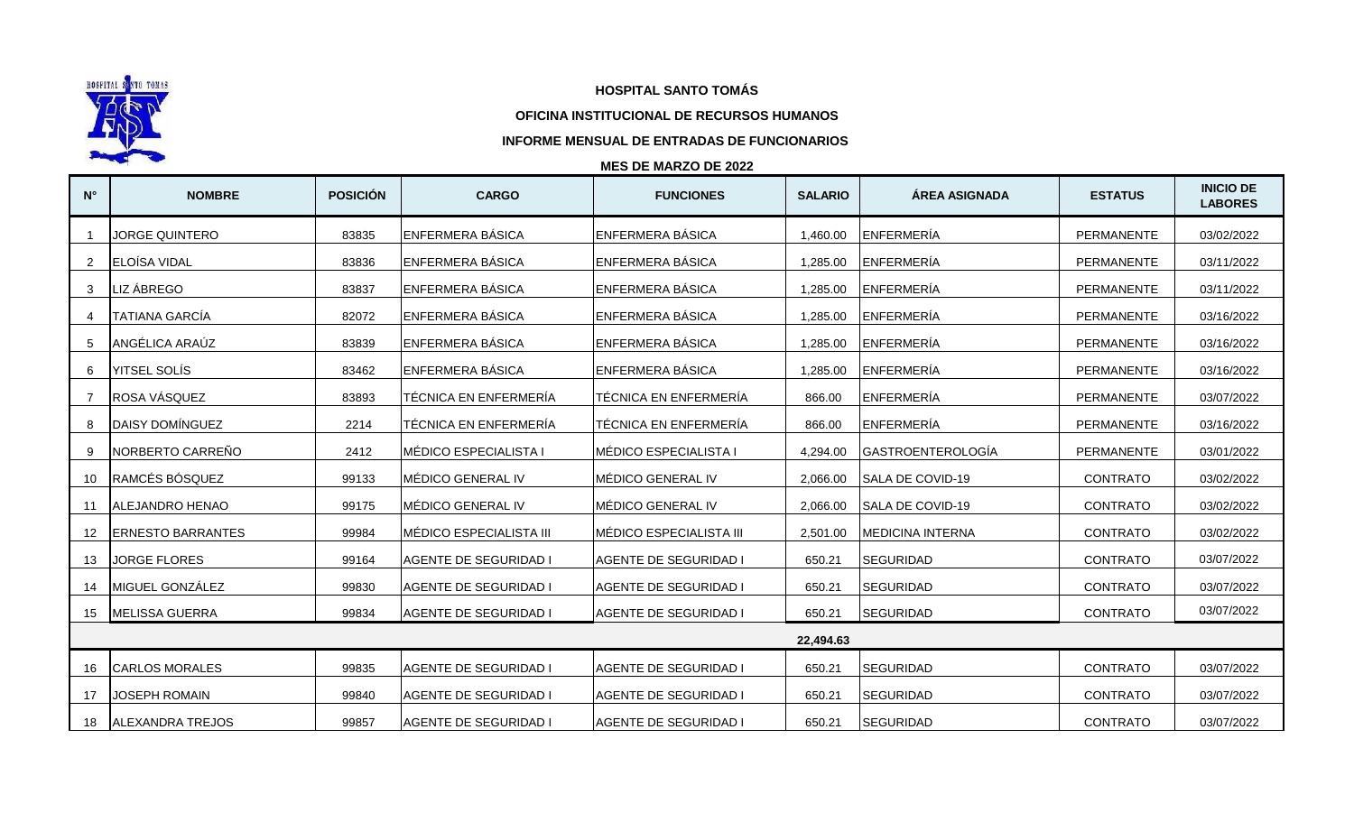

## **HOSPITAL SANTO TOMÁS**

## **OFICINA INSTITUCIONAL DE RECURSOS HUMANOS**

## **INFORME MENSUAL DE ENTRADAS DE FUNCIONARIOS**

## **MES DE MARZO DE 2022**

| $N^{\circ}$ | <b>NOMBRE</b>            | <b>POSICIÓN</b> | <b>CARGO</b>                 | <b>FUNCIONES</b>             | <b>SALARIO</b> | ÁREA ASIGNADA           | <b>ESTATUS</b>    | <b>INICIO DE</b><br><b>LABORES</b> |  |  |
|-------------|--------------------------|-----------------|------------------------------|------------------------------|----------------|-------------------------|-------------------|------------------------------------|--|--|
|             | <b>JORGE QUINTERO</b>    | 83835           | <b>ENFERMERA BÁSICA</b>      | <b>ENFERMERA BÁSICA</b>      | 1.460.00       | ENFERMERÍA              | <b>PERMANENTE</b> | 03/02/2022                         |  |  |
| 2           | ELOÍSA VIDAL             | 83836           | ENFERMERA BÁSICA             | ENFERMERA BÁSICA             | 1,285.00       | ENFERMERÍA              | PERMANENTE        | 03/11/2022                         |  |  |
| 3           | LIZ ÁBREGO               | 83837           | ENFERMERA BÁSICA             | ENFERMERA BÁSICA             | 1,285.00       | ENFERMERÍA              | PERMANENTE        | 03/11/2022                         |  |  |
|             | <b>TATIANA GARCÍA</b>    | 82072           | ENFERMERA BÁSICA             | ENFERMERA BÁSICA             | 1.285.00       | ENFERMERÍA              | PERMANENTE        | 03/16/2022                         |  |  |
| .5          | ANGÉLICA ARAÚZ           | 83839           | <b>ENFERMERA BÁSICA</b>      | <b>ENFERMERA BÁSICA</b>      | 1,285.00       | ENFERMERÍA              | PERMANENTE        | 03/16/2022                         |  |  |
| 6           | <b>YITSEL SOLÍS</b>      | 83462           | ENFERMERA BÁSICA             | ENFERMERA BÁSICA             | 1,285.00       | ENFERMERÍA              | PERMANENTE        | 03/16/2022                         |  |  |
|             | ROSA VÁSQUEZ             | 83893           | TÉCNICA EN ENFERMERÍA        | <b>TÉCNICA EN ENFERMERÍA</b> | 866.00         | ENFERMERÍA              | PERMANENTE        | 03/07/2022                         |  |  |
|             | DAISY DOMÍNGUEZ          | 2214            | TÉCNICA EN ENFERMERÍA        | TÉCNICA EN ENFERMERÍA        | 866.00         | ENFERMERÍA              | PERMANENTE        | 03/16/2022                         |  |  |
| 9           | NORBERTO CARREÑO         | 2412            | MÉDICO ESPECIALISTA I        | MÉDICO ESPECIALISTA I        | 4.294.00       | GASTROENTEROLOGÍA       | PERMANENTE        | 03/01/2022                         |  |  |
| 10          | RAMCÉS BÓSQUEZ           | 99133           | MÉDICO GENERAL IV            | MÉDICO GENERAL IV            | 2,066.00       | SALA DE COVID-19        | <b>CONTRATO</b>   | 03/02/2022                         |  |  |
| -11         | <b>ALEJANDRO HENAO</b>   | 99175           | MÉDICO GENERAL IV            | MÉDICO GENERAL IV            | 2,066.00       | <b>SALA DE COVID-19</b> | <b>CONTRATO</b>   | 03/02/2022                         |  |  |
| 12          | <b>ERNESTO BARRANTES</b> | 99984           | MÉDICO ESPECIALISTA III      | MÉDICO ESPECIALISTA III      | 2,501.00       | <b>MEDICINA INTERNA</b> | <b>CONTRATO</b>   | 03/02/2022                         |  |  |
| 13          | <b>JORGE FLORES</b>      | 99164           | <b>AGENTE DE SEGURIDAD I</b> | <b>AGENTE DE SEGURIDAD I</b> | 650.21         | <b>SEGURIDAD</b>        | <b>CONTRATO</b>   | 03/07/2022                         |  |  |
| 14          | MIGUEL GONZÁLEZ          | 99830           | <b>AGENTE DE SEGURIDAD I</b> | <b>AGENTE DE SEGURIDAD I</b> | 650.21         | <b>SEGURIDAD</b>        | <b>CONTRATO</b>   | 03/07/2022                         |  |  |
| 15          | <b>MELISSA GUERRA</b>    | 99834           | <b>AGENTE DE SEGURIDAD I</b> | <b>AGENTE DE SEGURIDAD I</b> | 650.21         | <b>SEGURIDAD</b>        | <b>CONTRATO</b>   | 03/07/2022                         |  |  |
|             | 22,494.63                |                 |                              |                              |                |                         |                   |                                    |  |  |
|             | <b>ICARLOS MORALES</b>   | 99835           | <b>AGENTE DE SEGURIDAD I</b> | <b>AGENTE DE SEGURIDAD I</b> | 650.21         | <b>SEGURIDAD</b>        | <b>CONTRATO</b>   | 03/07/2022                         |  |  |
| 17          | JOSEPH ROMAIN            | 99840           | <b>AGENTE DE SEGURIDAD I</b> | <b>AGENTE DE SEGURIDAD I</b> | 650.21         | <b>SEGURIDAD</b>        | <b>CONTRATO</b>   | 03/07/2022                         |  |  |
| 18          | <b>ALEXANDRA TREJOS</b>  | 99857           | <b>AGENTE DE SEGURIDAD I</b> | <b>AGENTE DE SEGURIDAD I</b> | 650.21         | <b>SEGURIDAD</b>        | <b>CONTRATO</b>   | 03/07/2022                         |  |  |